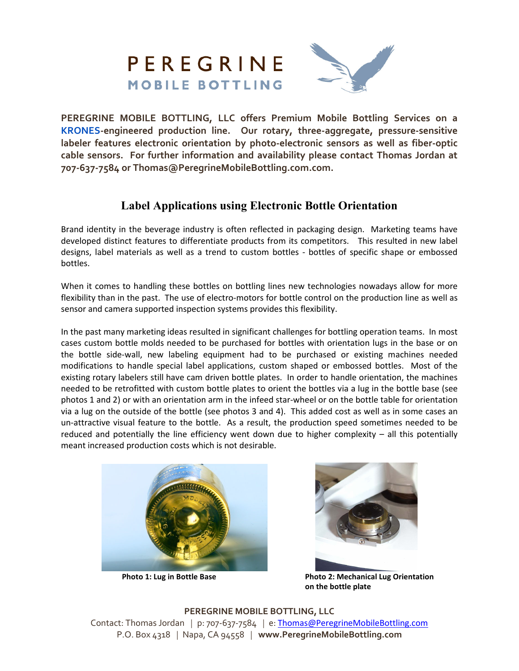

**PEREGRINE MOBILE BOTTLING, LLC offers Premium Mobile Bottling Services on a KRONES-engineered production line. Our rotary, three-aggregate, pressure-sensitive labeler features electronic orientation by photo-electronic sensors as well as fiber-optic cable sensors. For further information and availability please contact Thomas Jordan at 707-637-7584 or Thomas@PeregrineMobileBottling.com.com.** 

# **Label Applications using Electronic Bottle Orientation**

Brand identity in the beverage industry is often reflected in packaging design. Marketing teams have developed distinct features to differentiate products from its competitors. This resulted in new label designs, label materials as well as a trend to custom bottles - bottles of specific shape or embossed bottles.

When it comes to handling these bottles on bottling lines new technologies nowadays allow for more flexibility than in the past. The use of electro-motors for bottle control on the production line as well as sensor and camera supported inspection systems provides this flexibility.

In the past many marketing ideas resulted in significant challenges for bottling operation teams. In most cases custom bottle molds needed to be purchased for bottles with orientation lugs in the base or on the bottle side-wall, new labeling equipment had to be purchased or existing machines needed modifications to handle special label applications, custom shaped or embossed bottles. Most of the existing rotary labelers still have cam driven bottle plates. In order to handle orientation, the machines needed to be retrofitted with custom bottle plates to orient the bottles via a lug in the bottle base (see photos 1 and 2) or with an orientation arm in the infeed star-wheel or on the bottle table for orientation via a lug on the outside of the bottle (see photos 3 and 4). This added cost as well as in some cases an un-attractive visual feature to the bottle. As a result, the production speed sometimes needed to be reduced and potentially the line efficiency went down due to higher complexity – all this potentially meant increased production costs which is not desirable.





**Photo 1: Lug in Bottle Base The Communisty Photo 2: Mechanical Lug Orientation on the bottle plate** 

**PEREGRINE MOBILE BOTTLING, LLC** Contact: Thomas Jordan *|* p: 707-637-7584 *|* e: Thomas@PeregrineMobileBottling.com P.O. Box 4318 *|* Napa, CA 94558 *|* **www.PeregrineMobileBottling.com**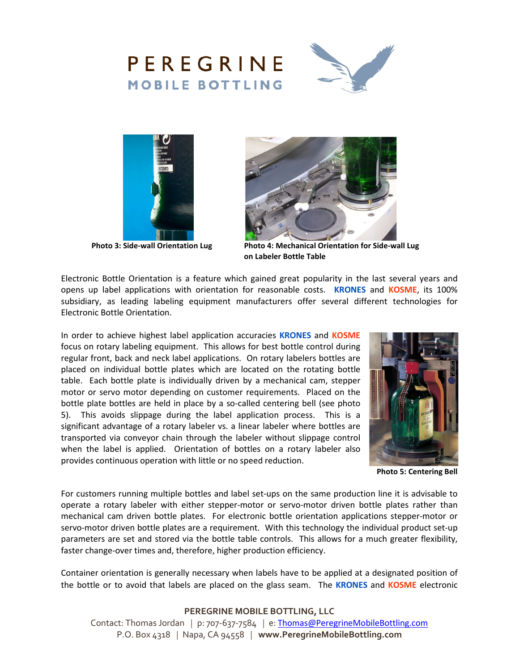





**Photo 3: Side-wall Orientation Lug** 



**Photo 4: Mechanical Orientation for Side-wall Lug on Labeler Bottle Table** 

Electronic Bottle Orientation is a feature which gained great popularity in the last several years and opens up label applications with orientation for reasonable costs. **KRONES** and **KOSME**, its 100% subsidiary, as leading labeling equipment manufacturers offer several different technologies for Electronic Bottle Orientation.

In order to achieve highest label application accuracies **KRONES** and **KOSME** focus on rotary labeling equipment. This allows for best bottle control during regular front, back and neck label applications. On rotary labelers bottles are placed on individual bottle plates which are located on the rotating bottle table. Each bottle plate is individually driven by a mechanical cam, stepper motor or servo motor depending on customer requirements. Placed on the bottle plate bottles are held in place by a so-called centering bell (see photo 5). This avoids slippage during the label application process. This is a significant advantage of a rotary labeler vs. a linear labeler where bottles are transported via conveyor chain through the labeler without slippage control when the label is applied. Orientation of bottles on a rotary labeler also provides continuous operation with little or no speed reduction.



**Photo 5: Centering Bell**

For customers running multiple bottles and label set-ups on the same production line it is advisable to operate a rotary labeler with either stepper-motor or servo-motor driven bottle plates rather than mechanical cam driven bottle plates. For electronic bottle orientation applications stepper-motor or servo-motor driven bottle plates are a requirement. With this technology the individual product set-up parameters are set and stored via the bottle table controls. This allows for a much greater flexibility, faster change-over times and, therefore, higher production efficiency.

Container orientation is generally necessary when labels have to be applied at a designated position of the bottle or to avoid that labels are placed on the glass seam. The **KRONES** and **KOSME** electronic

## **PEREGRINE MOBILE BOTTLING, LLC**

Contact: Thomas Jordan *|* p: 707-637-7584 *|* e: Thomas@PeregrineMobileBottling.com P.O. Box 4318 *|* Napa, CA 94558 *|* **www.PeregrineMobileBottling.com**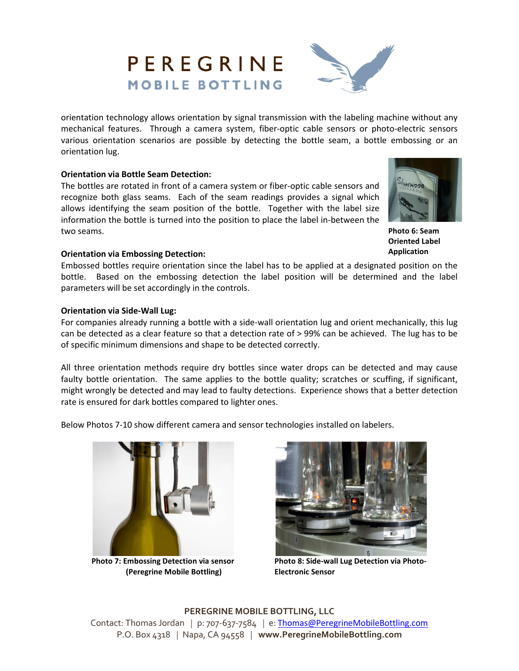## mechanical features. Through a camera system, fiber-optic cable sensors or photo-electric sensors various orientation scenarios are possible by detecting the bottle seam, a bottle embossing or an orientation lug.

## **Orientation via Bottle Seam Detection:**

The bottles are rotated in front of a camera system or fiber-optic cable sensors and recognize both glass seams. Each of the seam readings provides a signal which allows identifying the seam position of the bottle. Together with the label size information the bottle is turned into the position to place the label in-between the two seams.

#### **Orientation via Embossing Detection:**

Embossed bottles require orientation since the label has to be applied at a designated position on the bottle. Based on the embossing detection the label position will be determined and the label parameters will be set accordingly in the controls.

## **Orientation via Side-Wall Lug:**

For companies already running a bottle with a side-wall orientation lug and orient mechanically, this lug can be detected as a clear feature so that a detection rate of > 99% can be achieved. The lug has to be of specific minimum dimensions and shape to be detected correctly.

All three orientation methods require dry bottles since water drops can be detected and may cause faulty bottle orientation. The same applies to the bottle quality; scratches or scuffing, if significant, might wrongly be detected and may lead to faulty detections. Experience shows that a better detection rate is ensured for dark bottles compared to lighter ones.

Below Photos 7-10 show different camera and sensor technologies installed on labelers.

Photo 7: Embossing Detection via sensor **Photo 8: Side-wall Lug Detection via Photo- (Peregrine Mobile Bottling) Electronic Sensor** 

**PEREGRINE MOBILE BOTTLING, LLC** Contact: Thomas Jordan *|* p: 707-637-7584 *|* e: Thomas@PeregrineMobileBottling.com P.O. Box 4318 *|* Napa, CA 94558 *|* **www.PeregrineMobileBottling.com**











PEREGRINE

**MOBILE BOTTLING**